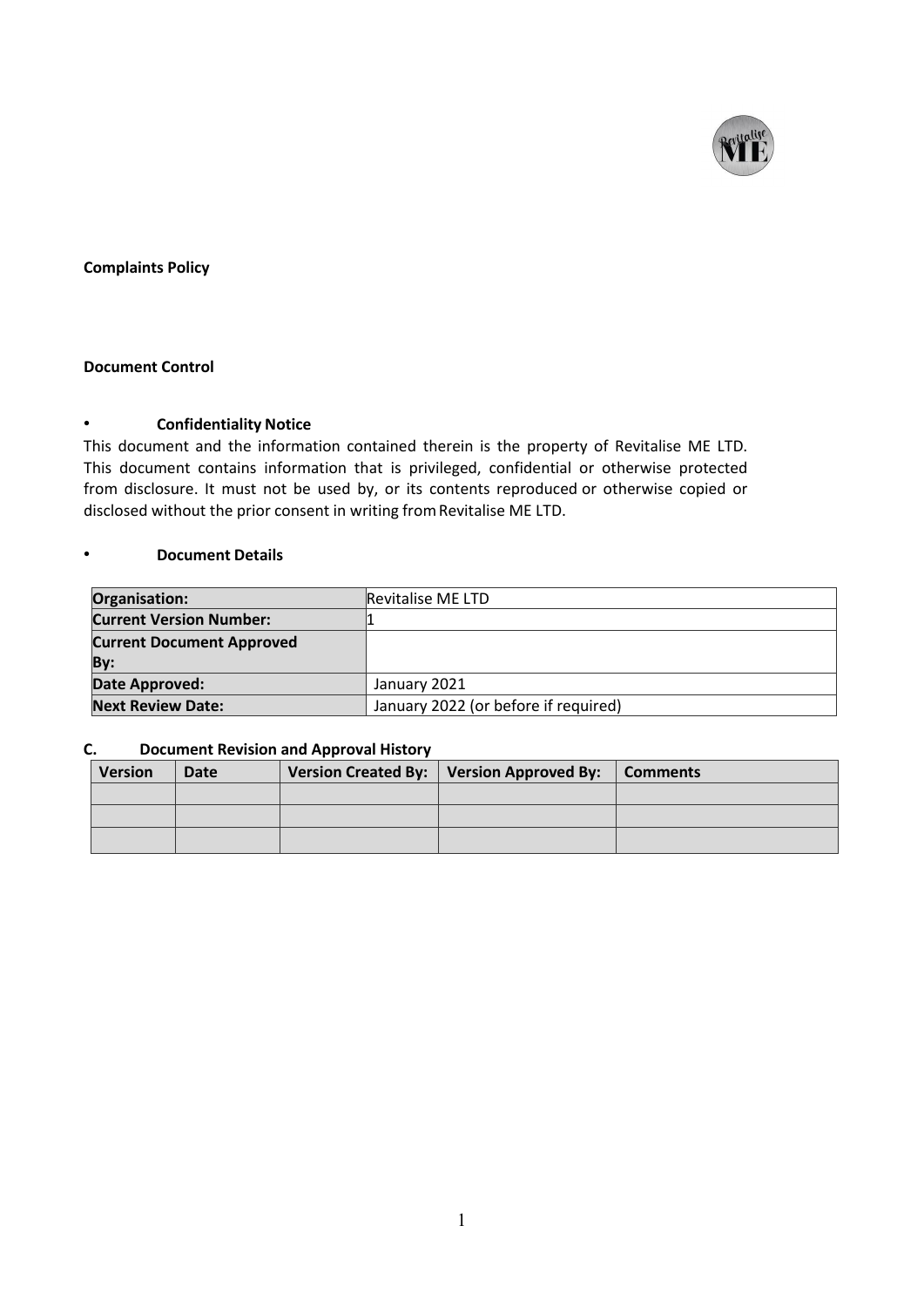

# **Complaints Policy**

# **Document Control**

#### • **Confidentiality Notice**

This document and the information contained therein is the property of Revitalise ME LTD. This document contains information that is privileged, confidential or otherwise protected from disclosure. It must not be used by, or its contents reproduced or otherwise copied or disclosed without the prior consent in writing fromRevitalise ME LTD.

### • **Document Details**

| Organisation:                    | <b>Revitalise ME LTD</b>             |  |
|----------------------------------|--------------------------------------|--|
| <b>Current Version Number:</b>   |                                      |  |
| <b>Current Document Approved</b> |                                      |  |
| By:                              |                                      |  |
| Date Approved:                   | January 2021                         |  |
| <b>Next Review Date:</b>         | January 2022 (or before if required) |  |

## **C. Document Revision and Approval History**

| <b>Version</b> | <b>Date</b> | Version Created By: $\vert$ Version Approved By: $\vert$ Comments |  |
|----------------|-------------|-------------------------------------------------------------------|--|
|                |             |                                                                   |  |
|                |             |                                                                   |  |
|                |             |                                                                   |  |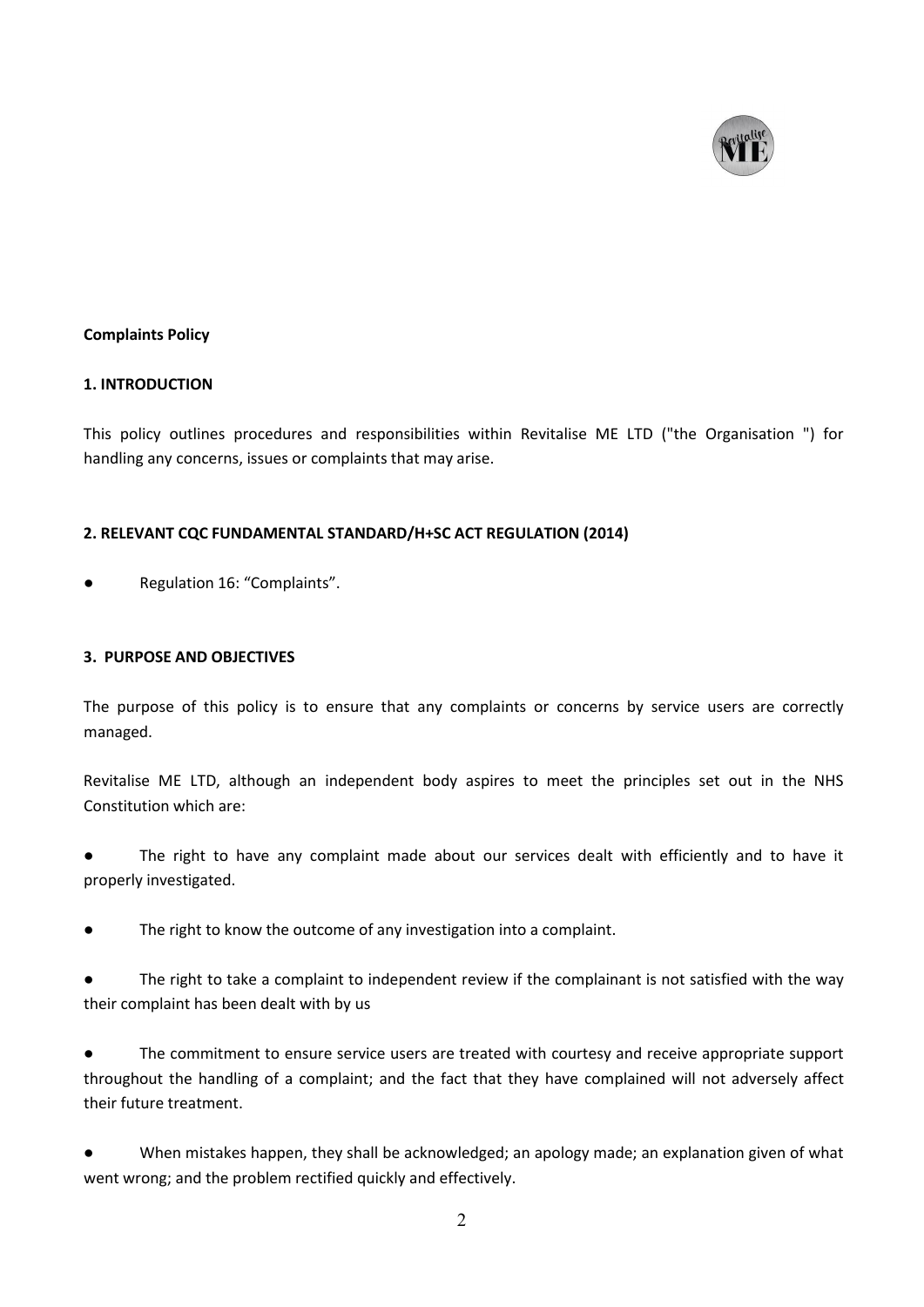

### **Complaints Policy**

#### **1. INTRODUCTION**

This policy outlines procedures and responsibilities within Revitalise ME LTD ("the Organisation ") for handling any concerns, issues or complaints that may arise.

## **2. RELEVANT CQC FUNDAMENTAL STANDARD/H+SC ACT REGULATION (2014)**

Regulation 16: "Complaints".

### **3. PURPOSE AND OBJECTIVES**

The purpose of this policy is to ensure that any complaints or concerns by service users are correctly managed.

Revitalise ME LTD, although an independent body aspires to meet the principles set out in the NHS Constitution which are:

The right to have any complaint made about our services dealt with efficiently and to have it properly investigated.

The right to know the outcome of any investigation into a complaint.

The right to take a complaint to independent review if the complainant is not satisfied with the way their complaint has been dealt with by us

The commitment to ensure service users are treated with courtesy and receive appropriate support throughout the handling of a complaint; and the fact that they have complained will not adversely affect their future treatment.

When mistakes happen, they shall be acknowledged; an apology made; an explanation given of what went wrong; and the problem rectified quickly and effectively.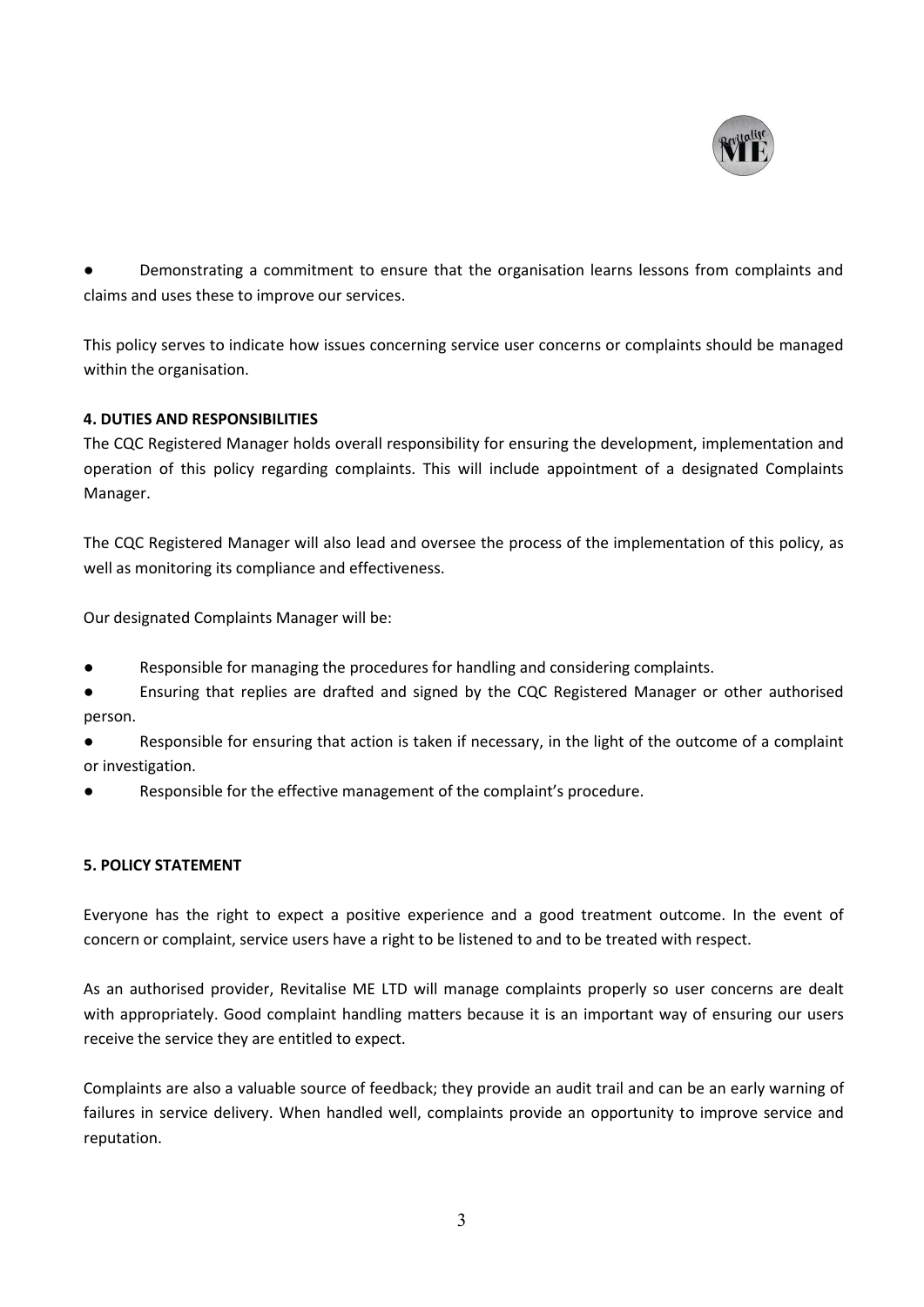

Demonstrating a commitment to ensure that the organisation learns lessons from complaints and claims and uses these to improve our services.

This policy serves to indicate how issues concerning service user concerns or complaints should be managed within the organisation.

# **4. DUTIES AND RESPONSIBILITIES**

The CQC Registered Manager holds overall responsibility for ensuring the development, implementation and operation of this policy regarding complaints. This will include appointment of a designated Complaints Manager.

The CQC Registered Manager will also lead and oversee the process of the implementation of this policy, as well as monitoring its compliance and effectiveness.

Our designated Complaints Manager will be:

- Responsible for managing the procedures for handling and considering complaints.
- Ensuring that replies are drafted and signed by the CQC Registered Manager or other authorised person.
- Responsible for ensuring that action is taken if necessary, in the light of the outcome of a complaint or investigation.
- Responsible for the effective management of the complaint's procedure.

# **5. POLICY STATEMENT**

Everyone has the right to expect a positive experience and agood treatment outcome. In the event of concern or complaint, service users have a right to be listened to and to be treated with respect.

As an authorised provider, Revitalise ME LTD will manage complaints properly so user concerns are dealt with appropriately. Good complaint handling matters because it is an important way of ensuring our users receive the service they are entitled to expect.

Complaints are also a valuable source of feedback; they provide an audit trail and can be an early warning of failures in service delivery. When handled well, complaints provide an opportunity to improve service and reputation.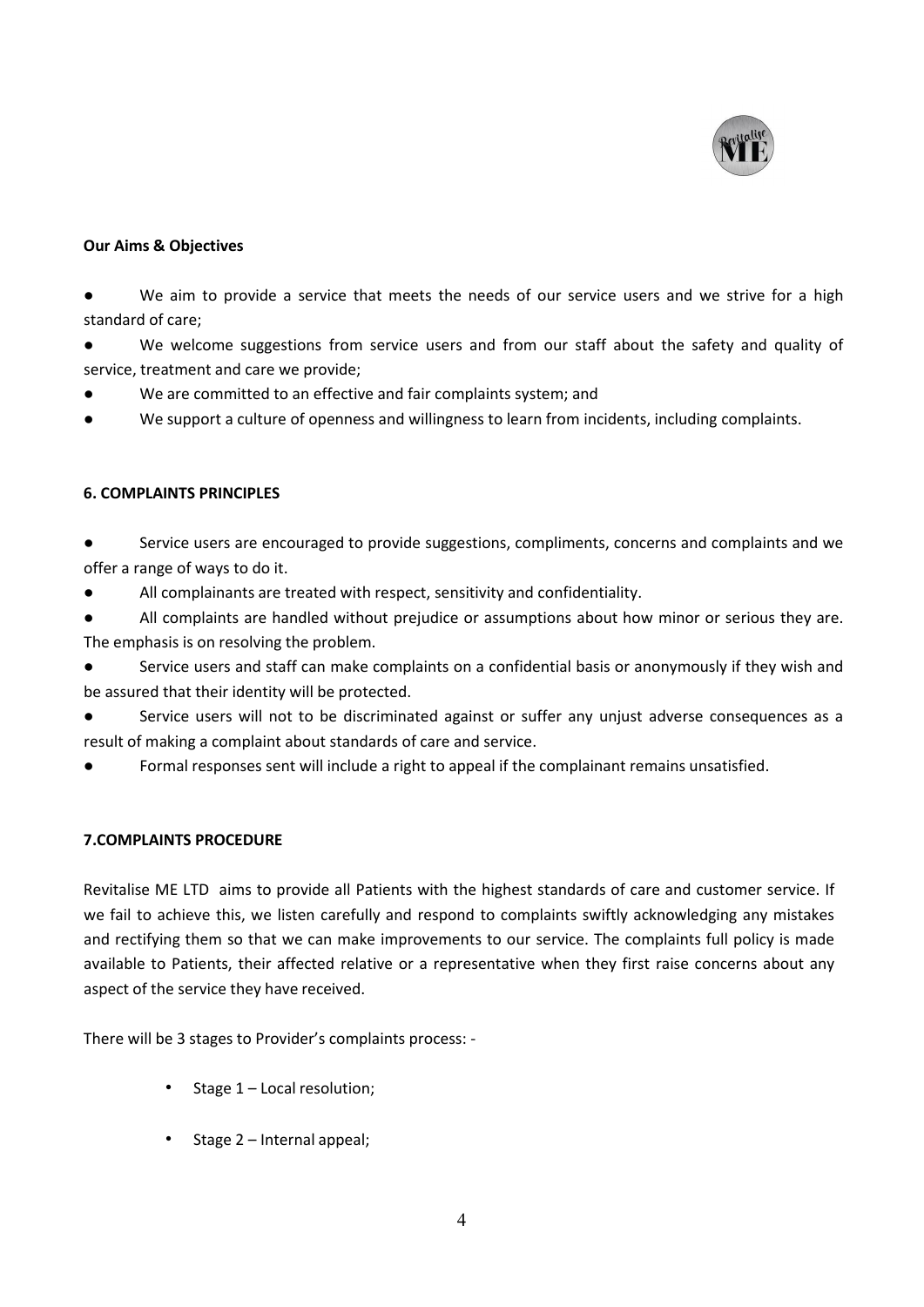

### **Our Aims & Objectives**

● We aim to provide a service that meets the needs of our service users and we strive for a high standard of care;

● We welcome suggestions from service users and from our staff about the safety and quality of service, treatment and care we provide;

- We are committed to an effective and fair complaints system; and
- We support a culture of openness and willingness to learn from incidents, including complaints.

### **6. COMPLAINTS PRINCIPLES**

● Service users are encouraged to provide suggestions, compliments, concerns and complaints and we offer a range of ways to do it.

● All complainants are treated with respect, sensitivity and confidentiality.

All complaints are handled without prejudice or assumptions about how minor or serious they are. The emphasis is on resolving the problem.

Service users and staff can make complaints on a confidential basis or anonymously if they wish and be assured that their identity will be protected.

Service users will not to be discriminated against or suffer any unjust adverse consequences as a result of making a complaint about standards of care and service.

Formal responses sent will include a right to appeal if the complainant remains unsatisfied.

#### **7.COMPLAINTS PROCEDURE**

Revitalise ME LTD aims to provide all Patients with the highest standards of care and customer service. If we fail to achieve this, we listen carefully and respond to complaints swiftly acknowledging any mistakes and rectifying them so that we can make improvements to our service. The complaints full policy is made available to Patients, their affected relative or a representative when they first raise concerns about any aspect of the service they have received.

There will be 3 stages to Provider's complaints process: -

- Stage 1 Local resolution;
- Stage 2 Internal appeal;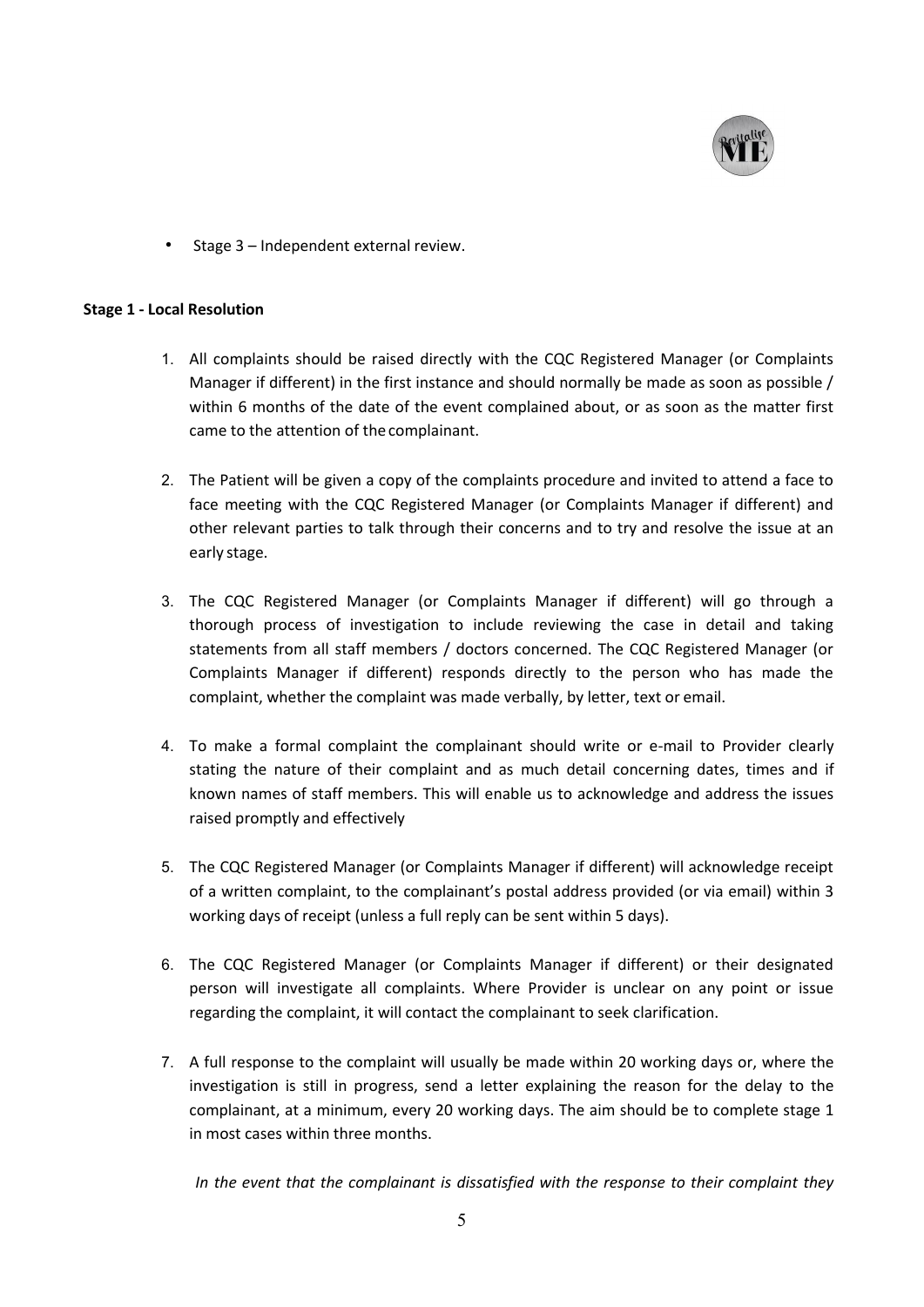

• Stage 3 – Independent external review.

#### **Stage 1 - Local Resolution**

- 1. All complaints should be raised directly with the CQC Registered Manager (or Complaints Manager if different) in the first instance and should normally be made as soon as possible / within 6 months of the date of the event complained about, or as soon as the matter first came to the attention of thecomplainant.
- 2. The Patient will be given a copy of the complaints procedure and invited to attend a face to face meeting with the CQC Registered Manager (or Complaints Manager if different) and other relevant parties to talk through their concerns and to try and resolve the issue at an early stage.
- 3. The CQC Registered Manager (or Complaints Manager if different) will go through a thorough process of investigation to include reviewing the case in detail and taking statements from all staff members / doctors concerned. The CQC Registered Manager (or Complaints Manager if different) responds directly to the person who has made the complaint, whether the complaint was made verbally, by letter, text or email.
- 4. To make a formal complaint the complainant should write or e-mail to Provider clearly stating the nature of their complaint and as much detail concerning dates, times and if known names of staff members. This will enable us to acknowledge and address the issues raised promptly and effectively
- 5. The CQC Registered Manager (or Complaints Manager if different) will acknowledge receipt of a written complaint, to the complainant's postal address provided (or via email) within 3 working days of receipt (unless a full reply can be sent within 5 days).
- 6. The CQC Registered Manager (or Complaints Manager if different) or their designated person will investigate all complaints. Where Provider is unclear on any point or issue regarding the complaint, it will contact the complainant to seek clarification.
- 7. A full response to the complaint will usually be made within 20 working days or, where the investigation is still in progress, send a letter explaining the reason for the delay to the complainant, at a minimum, every 20 working days. The aim should be to complete stage 1 in most cases within three months.

*In the event that the complainant is dissatisfied with the response to their complaint they*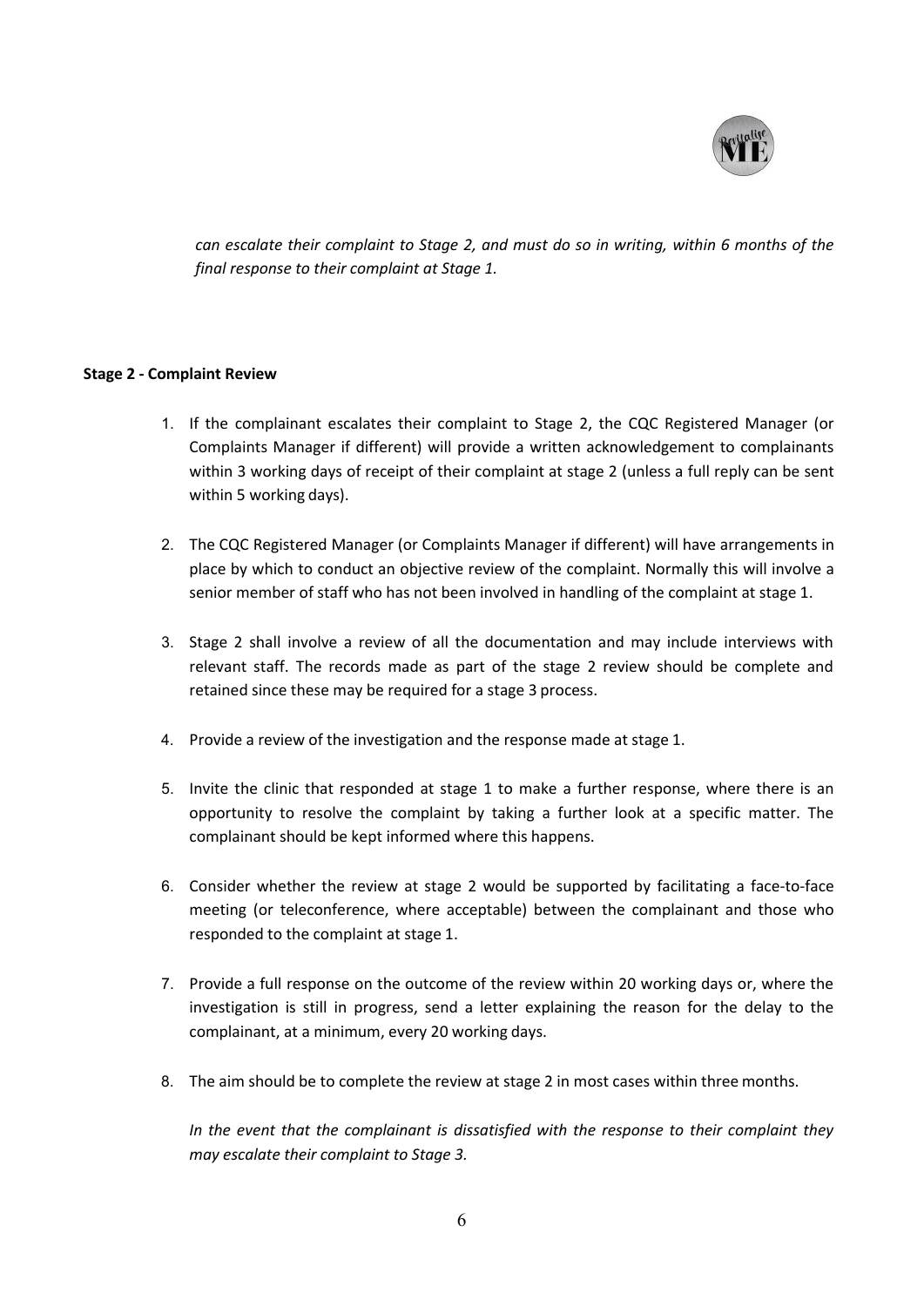

*can escalate their complaint to Stage 2, and must do so in writing, within 6 months of the final response to their complaint at Stage 1.*

#### **Stage 2 - Complaint Review**

- 1. If the complainant escalates their complaint to Stage 2, the CQC Registered Manager (or Complaints Manager if different) will provide a written acknowledgement to complainants within 3 working days of receipt of their complaint at stage 2 (unless a full reply can be sent within 5 working days).
- 2. The CQC Registered Manager (or Complaints Manager if different) will have arrangements in place by which to conduct an objective review of the complaint.Normally this will involve a senior member of staff who has not been involved in handling of the complaint at stage 1.
- 3. Stage 2 shall involve a review of all the documentation and may include interviews with relevant staff. The records made as part of the stage 2 review should be complete and retained since these may be required for a stage 3 process.
- 4. Provide a review of the investigation and the response made at stage 1.
- 5. Invite the clinic that responded at stage 1 to make a further response, where there is an opportunity to resolve the complaint by taking a further look at a specific matter. The complainant should be kept informed where this happens.
- 6. Consider whether the review at stage 2 would be supported by facilitating a face-to-face meeting (or teleconference, where acceptable) between the complainant and those who responded to the complaint at stage 1.
- 7. Provide a full response on the outcome of the review within 20 working days or, where the investigation is still in progress, send aletter explaining the reason for the delay to the complainant, at a minimum, every 20 working days.
- 8. The aim should be to complete the review at stage 2 in most cases within three months.

*In the event that the complainant is dissatisfied with the response to their complaint they may escalate their complaint to Stage 3.*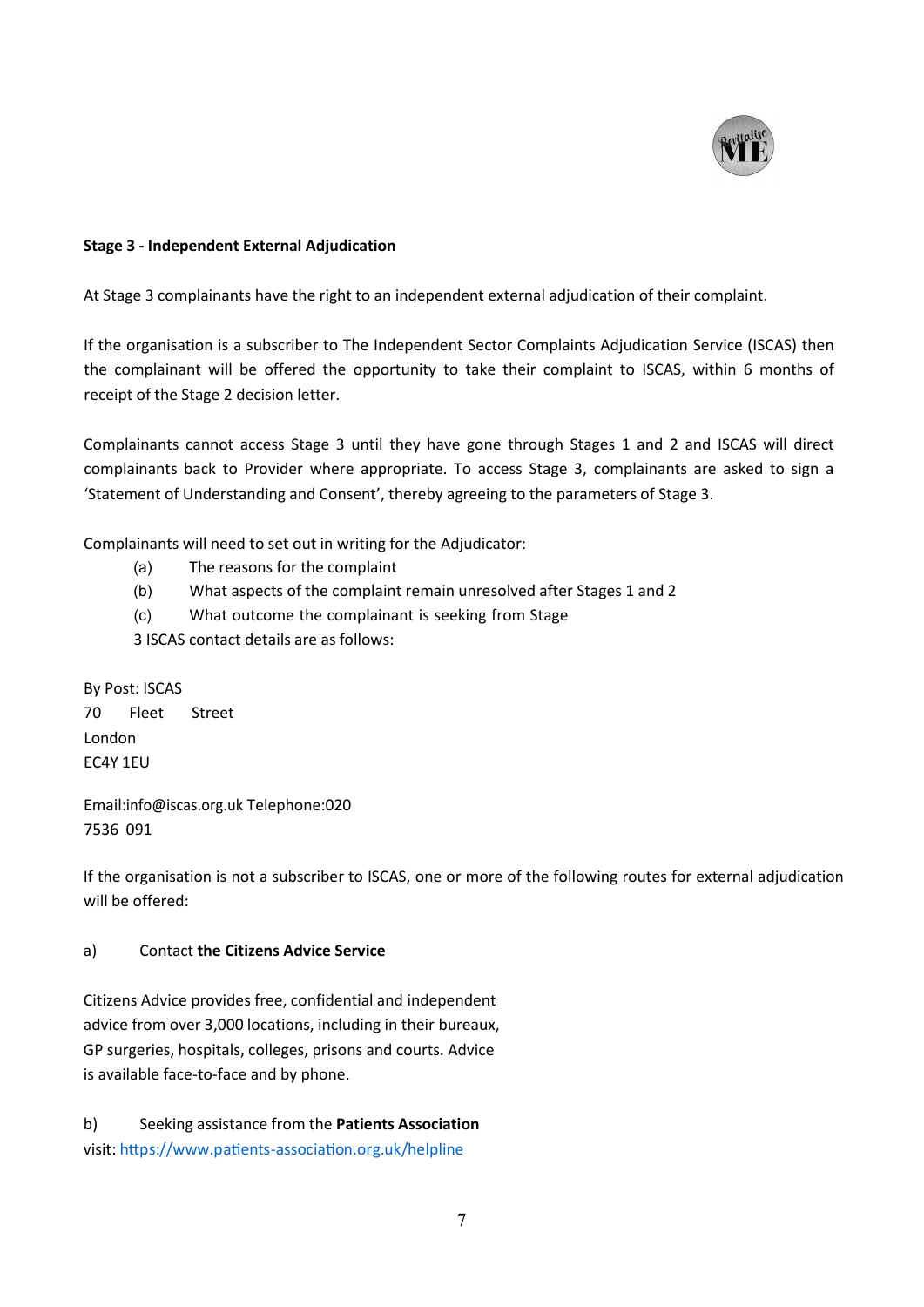

### **Stage 3 - Independent External Adjudication**

At Stage 3 complainants have the right to an independent external adjudication of their complaint.

If the organisation is a subscriber to The Independent Sector Complaints Adjudication Service (ISCAS) then the complainant will be offered the opportunity to take their complaint to ISCAS, within 6 months of receipt of the Stage 2 decision letter.

Complainants cannot access Stage 3 until they have gone through Stages 1 and 2 and ISCAS will direct complainants back to Provider where appropriate. To access Stage 3, complainants are asked to sign a 'Statement of Understanding and Consent', thereby agreeing to the parameters of Stage 3.

Complainants will need to set out in writing for the Adjudicator:

- (a) The reasons for the complaint
- (b) What aspects of the complaint remain unresolved after Stages 1 and 2
- (c) What outcome the complainant is seeking from Stage

3 ISCAS contact details are as follows:

By Post: ISCAS 70 Fleet Street London EC4Y 1EU

Email[:info@iscas.org.uk](mailto:info@iscas.org.uk) Telephone:020 7536 091

If the organisation is not a subscriber to ISCAS, one or more of the following routes for external adjudication will be offered:

#### a) Contact **the Citizens Advice Service**

Citizens Advice provides free, confidential and independent advice from over 3,000 locations, including in their bureaux, GP surgeries, hospitals, colleges, prisons and courts. Advice is available face-to-face and by phone.

b) Seeking assistance from the **Patients Association** visit: https://www.patients-association.org.uk/helpline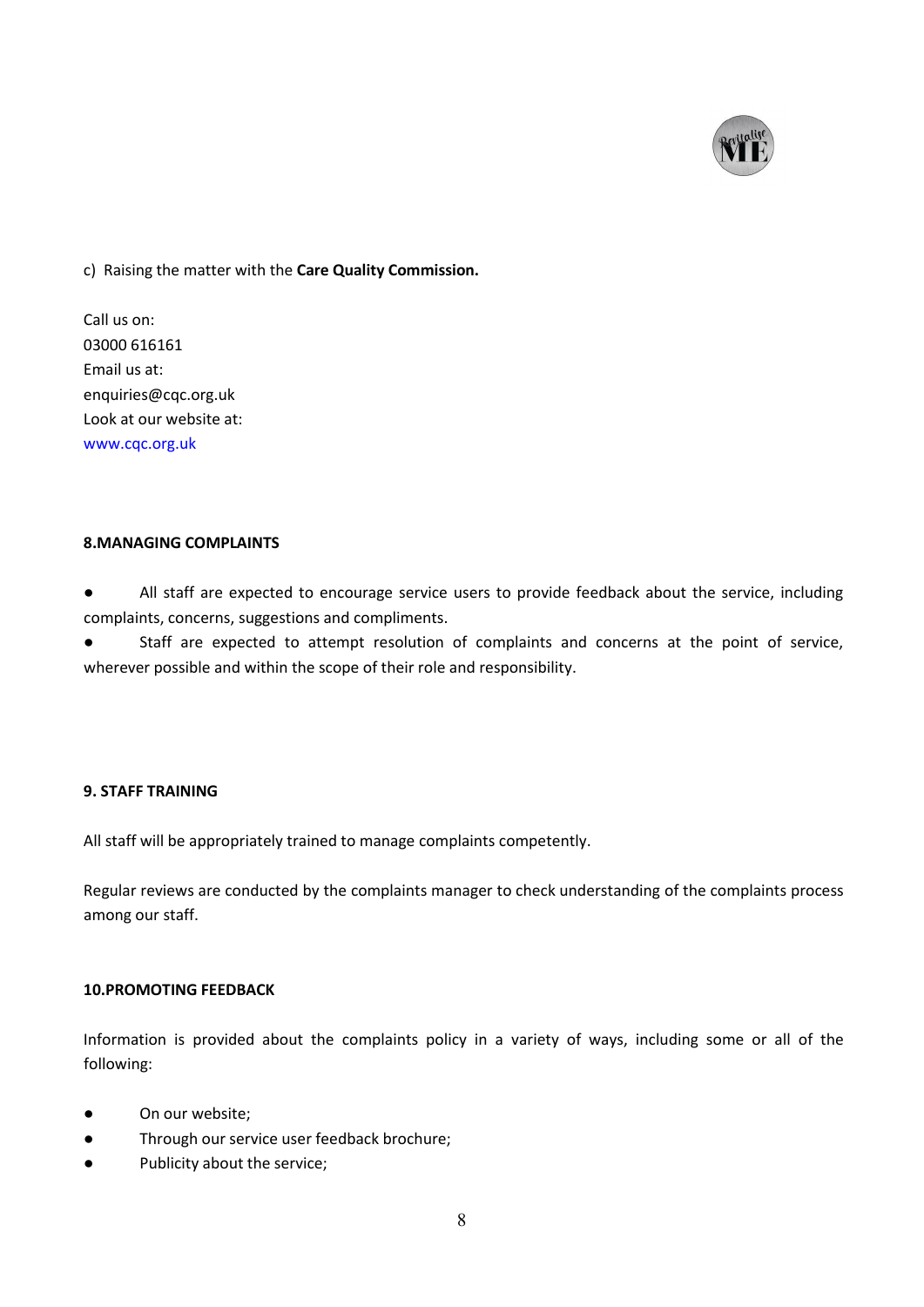

## c) Raising the matter with the **Care Quality Commission.**

Call us on: 03000 616161 Email us at: enquiries@cqc.org.uk Look at our website at: [www.cqc.org.uk](http://www.cqc.org.uk)

# **8.MANAGING COMPLAINTS**

● All staff are expected to encourage service users to provide feedback about the service, including complaints, concerns, suggestions and compliments.

● Staff are expected to attempt resolution of complaints and concerns at the point of service, wherever possible and within the scope of their role and responsibility.

## **9. STAFF TRAINING**

All staff will be appropriately trained to manage complaints competently.

Regular reviews are conducted by the complaints manager to check understanding of the complaints process among our staff.

#### **10.PROMOTING FEEDBACK**

Information is provided about the complaints policy in a variety of ways, including some or all of the following:

- On our website;
- Through our service user feedback brochure;
- Publicity about the service;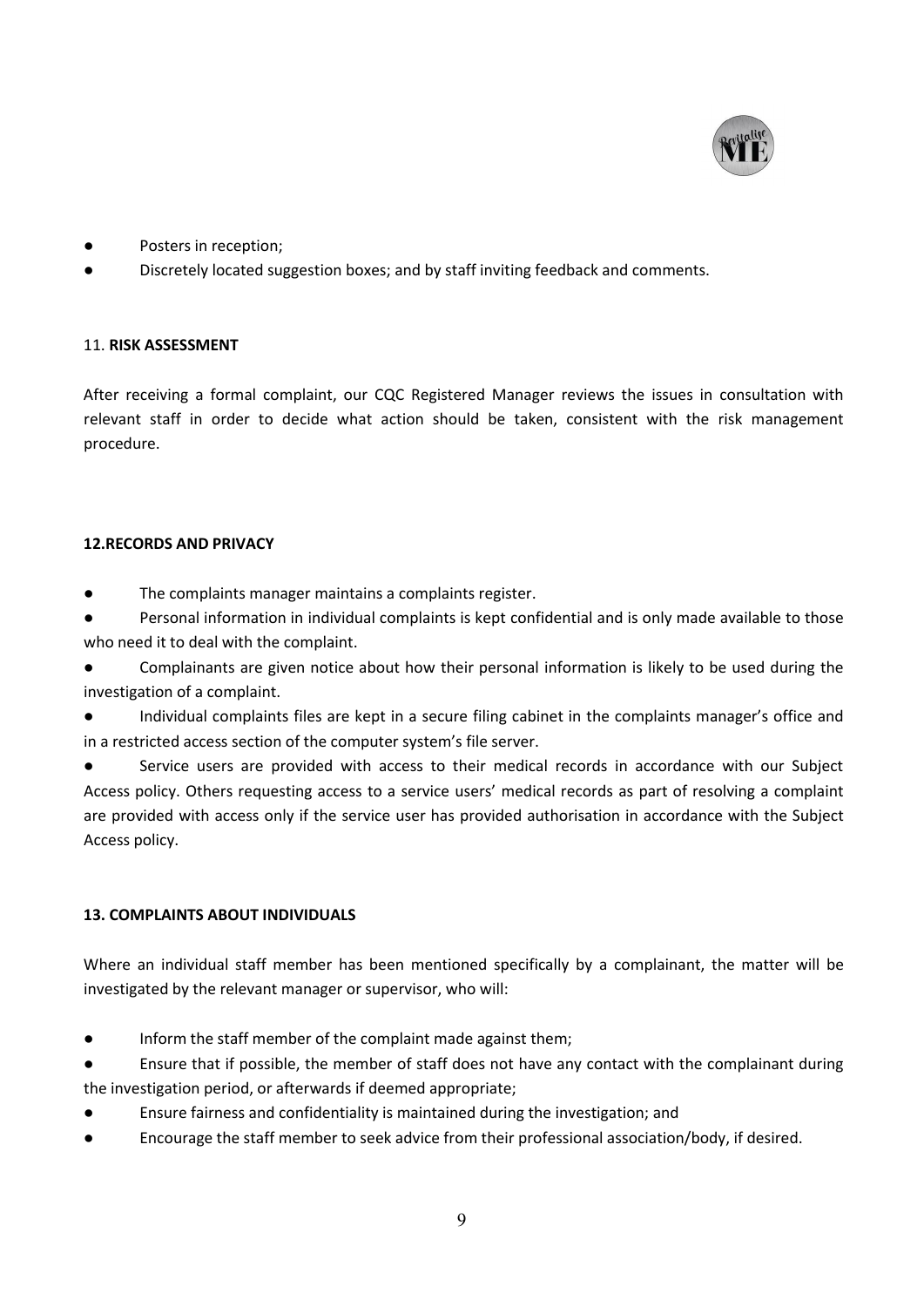

- Posters in reception;
- Discretely located suggestion boxes; and by staff inviting feedback and comments.

#### 11. **RISK ASSESSMENT**

After receiving a formal complaint, our CQC Registered Manager reviews the issues in consultation with relevant staff in order to decide what action should be taken, consistent with the risk management procedure.

#### **12.RECORDS AND PRIVACY**

- The complaints manager maintains a complaints register.
- Personal information in individual complaints is kept confidential and is only made available to those who need it to deal with the complaint.

Complainants are given notice about how their personal information is likely to be used during the investigation of a complaint.

Individual complaints files are kept in a secure filing cabinet in the complaints manager's office and in a restricted access section of the computer system's file server.

Service users are provided with access to their medical records in accordance with our Subject Access policy. Others requesting access to a service users' medical records as part of resolving a complaint are provided with access only if the service user has provided authorisation in accordance with the Subject Access policy.

#### **13. COMPLAINTS ABOUT INDIVIDUALS**

Where an individual staff member has been mentioned specifically by a complainant, the matter will be investigated by the relevant manager or supervisor, who will:

- Inform the staff member of the complaint made against them;
- Ensure that if possible, the member of staff does not have any contact with the complainant during the investigation period, or afterwards if deemed appropriate;
- Ensure fairness and confidentiality is maintained during the investigation; and
- Encourage the staff member to seek advice from their professional association/body, if desired.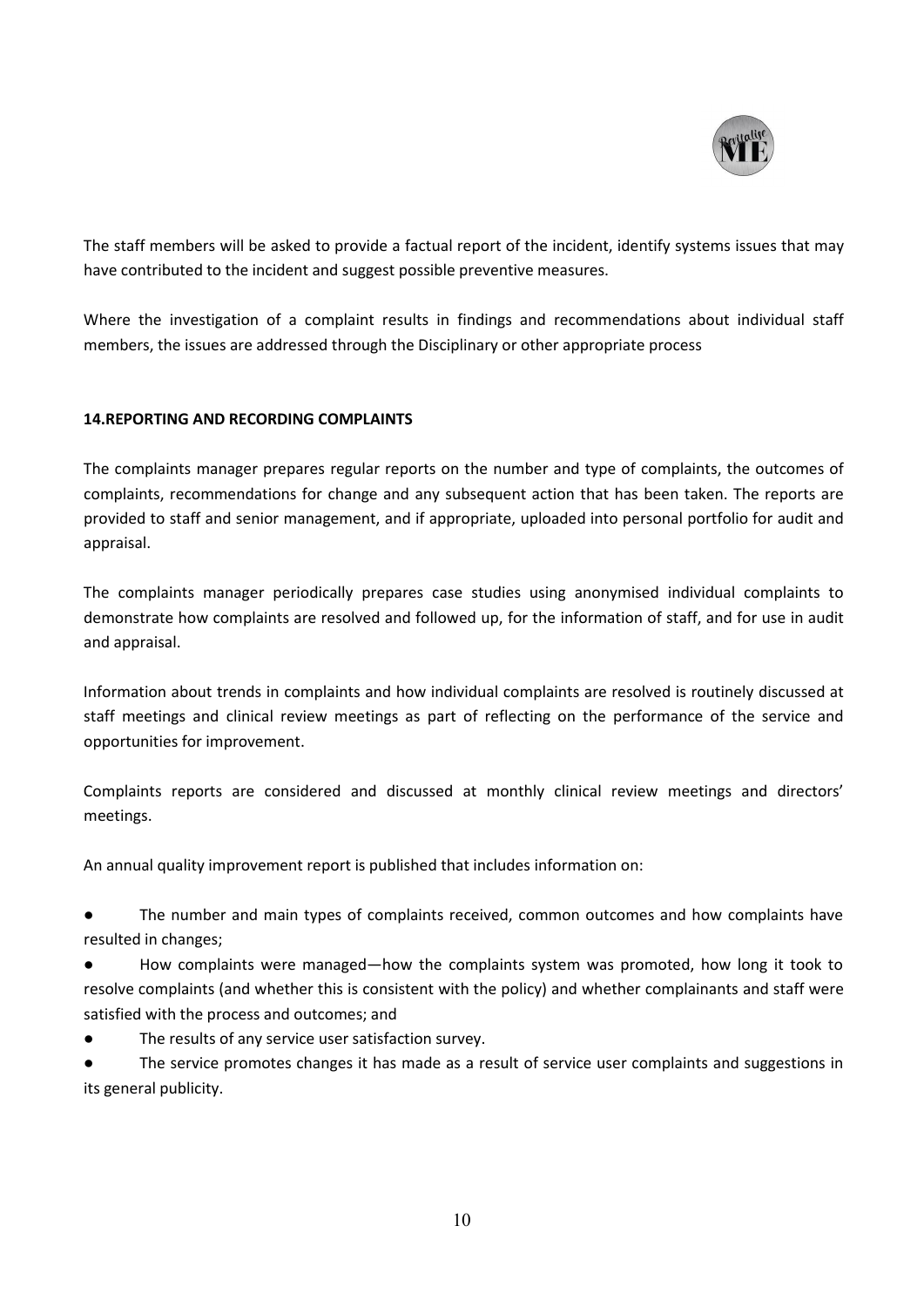

The staff members will be asked to provide a factual report of the incident, identify systems issues that may have contributed to the incident and suggest possible preventive measures.

Where the investigation of a complaint results in findings and recommendations about individual staff members, the issues are addressed through the Disciplinary or other appropriate process

## **14.REPORTING AND RECORDING COMPLAINTS**

The complaints manager prepares regular reports on the number and type of complaints, the outcomes of complaints, recommendations for change and any subsequent action that has been taken. The reports are provided to staff and senior management, and if appropriate, uploaded into personal portfolio for audit and appraisal.

The complaints manager periodically prepares case studies using anonymised individual complaints to demonstrate how complaints are resolved and followed up, for the information of staff, and for use in audit and appraisal.

Information about trends in complaints and how individual complaints are resolved is routinely discussed at staff meetings and clinical review meetings as part of reflecting on the performance of the service and opportunities for improvement.

Complaints reports are considered and discussed at monthly clinical review meetings and directors' meetings.

An annual quality improvement report is published that includes information on:

● The number and main types of complaints received, common outcomes and how complaints have resulted in changes;

- How complaints were managed—how the complaints system was promoted, how long it took to resolve complaints (and whether this is consistent with the policy) and whether complainants and staff were satisfied with the process and outcomes; and
- The results of any service user satisfaction survey.
- The service promotes changes it has made as a result of service user complaints and suggestions in its general publicity.